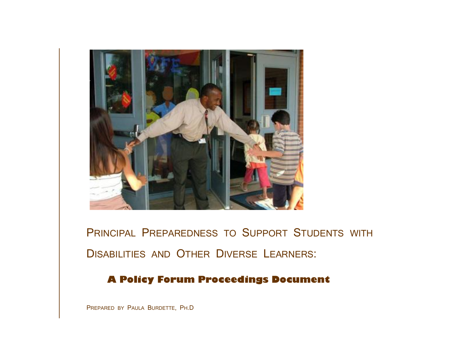

PRINCIPAL PREPAREDNESS TO SUPPORT STUDENTS WITH DISABILITIES AND OTHER DIVERSE LEARNERS:

# **A Policy Forum Proceedings Document**

PREPARED BY PAULA BURDETTE, PH.D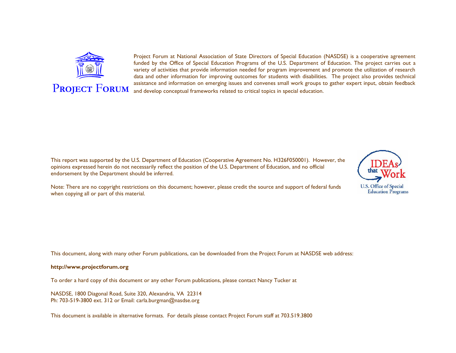

P**ROJECT** F**ORUM**

#### Project Forum at National Association of State Directors of Special Education (NASDSE) is a cooperative agreement funded by the Office of Special Education Programs of the U.S. Department of Education. The project carries out a variety of activities that provide information needed for program improvement and promote the utilization of research data and other information for improving outcomes for students with disabilities. The project also provides technical assistance and information on emerging issues and convenes small work groups to gather expert input, obtain feedback and develop conceptual frameworks related to critical topics in special education.

This report was supported by the U.S. Department of Education (Cooperative Agreement No. H326F050001). However, the opinions expressed herein do not necessarily reflect the position of the U.S. Department of Education, and no official endorsement by the Department should be inferred.

Note: There are no copyright restrictions on this document; however, please credit the source and support of federal funds when copying all or part of this material.

This document, along with many other Forum publications, can be downloaded from the Project Forum at NASDSE web address:

#### **http://www.projectforum.org**

To order a hard copy of this document or any other Forum publications, please contact Nancy Tucker at

NASDSE, 1800 Diagonal Road, Suite 320, Alexandria, VA 22314 Ph: 703-519-3800 ext. 312 or Email: [carla.burgman@nasdse.org](mailto:carla.burgman@nasdse.org)

This document is available in alternative formats. For details please contact Project Forum staff at 703.519.3800

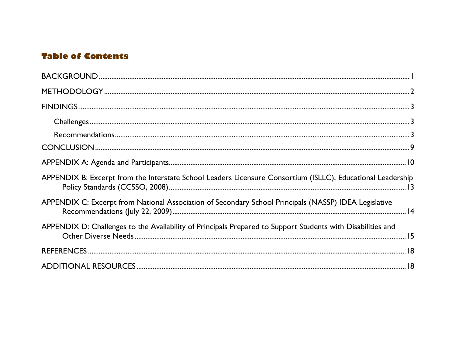# **Table of Contents**

| APPENDIX B: Excerpt from the Interstate School Leaders Licensure Consortium (ISLLC), Educational Leadership |  |
|-------------------------------------------------------------------------------------------------------------|--|
| APPENDIX C: Excerpt from National Association of Secondary School Principals (NASSP) IDEA Legislative       |  |
| APPENDIX D: Challenges to the Availability of Principals Prepared to Support Students with Disabilities and |  |
|                                                                                                             |  |
|                                                                                                             |  |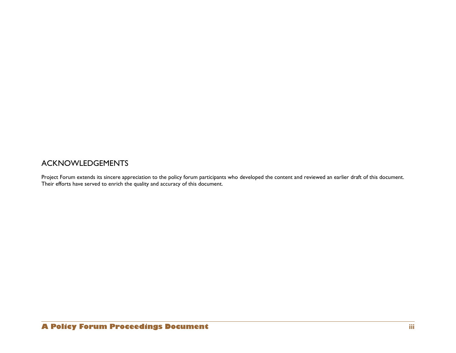## ACKNOWLEDGEMENTS

Project Forum extends its sincere appreciation to the policy forum participants who developed the content and reviewed an earlier draft of this document. Their efforts have served to enrich the quality and accuracy of this document.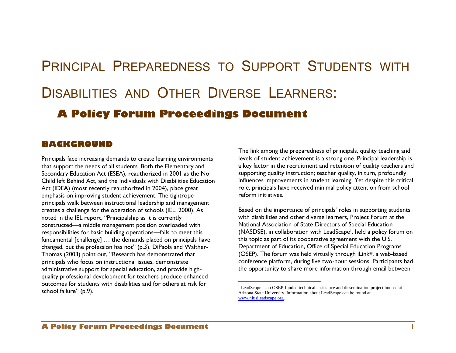# PRINCIPAL PREPAREDNESS TO SUPPORT STUDENTS WITH DISABILITIES AND OTHER DIVERSE LEARNERS: **A Policy Forum Proceedings Document**

 $\overline{a}$ 

## <span id="page-6-0"></span>**BACKGROUND**

Principals face increasing demands to create learning environments that support the needs of all students. Both the Elementary and Secondary Education Act (ESEA), reauthorized in 2001 as the No Child left Behind Act, and the Individuals with Disabilities Education Act (IDEA) (most recently reauthorized in 2004), place great emphasis on improving student achievement. The tightrope principals walk between instructional leadership and management creates a challenge for the operation of schools (IEL, 2000). As noted in the IEL report, "Principalship as it is currently constructed—a middle management position overloaded with responsibilities for basic building operations—fails to meet this fundamental [challenge] … the demands placed on principals have changed, but the profession has not" (p.3). DiPaola and Walther-Thomas (2003) point out, "Research has demonstrated that principals who focus on instructional issues, demonstrate administrative support for special education, and provide highquality professional development for teachers produce enhanced outcomes for students with disabilities and for others at risk for school failure" (p.9).

The link among the preparedness of principals, quality teaching and levels of student achievement is a strong one. Principal leadership is a key factor in the recruitment and retention of quality teachers and supporting quality instruction; teacher quality, in turn, profoundly influences improvements in student learning. Yet despite this critical role, principals have received minimal policy attention from school reform initiatives.

Based on the importance of principals' roles in supporting students with disabilities and other diverse learners, Project Forum at the National Association of State Directors of Special Education (NASDSE), in collaboration with LeadScape<sup>1</sup>, held a policy forum on this topic as part of its cooperative agreement with the U.S. Department of Education, Office of Special Education Programs (OSEP). The forum was held virtually through iLink©, a web-based conference platform, during five two-hour sessions. Participants had the opportunity to share more information through email between

<sup>&</sup>lt;sup>1</sup> LeadScape is an OSEP-funded technical assistance and dissemination project housed at Arizona State University. Information about LeadScape can be found at [www.niusileadscape.org.](http://www.niusileadscape.org/)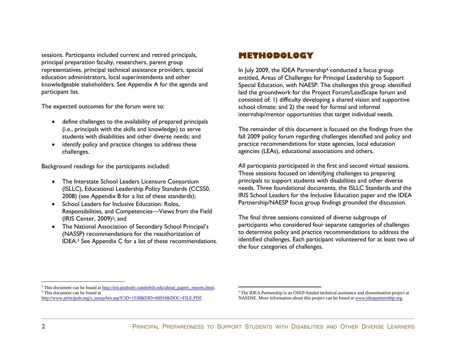sessions. Participants included current and retired principals, principal preparation faculty, researchers, parent group representatives, principal technical assistance providers, special education administrators, local superintendents and other knowledgeable stakeholders. See Appendix A for the agenda and participant list.

The expected outcomes for the forum were to:

- define challenges to the availability of prepared principals (i.e., principals with the skills and knowledge) to serve students with disabilities and other diverse needs; and
- identify policy and practice changes to address these challenges.

Background readings for the participants included:

- The Interstate School Leaders Licensure Consortium (ISLLC), Educational Leadership Policy Standards (CCSS0, 2008) (see Appendix B for a list of these standards);
- School Leaders for Inclusive Education: Roles, Responsibilities, and Competencies—Views from the Field (IRIS Center, 2009)<sup>2</sup>; and
- The National Association of Secondary School Principal"s (NASSP) recommendations for the reauthorization of IDEA.<sup>3</sup> See Appendix C for a list of these recommendations.

# <span id="page-7-0"></span>**METHODOLOGY**

In July 2009, the IDEA Partnership<sup>4</sup> conducted a focus group entitled, Areas of Challenges for Principal Leadership to Support Special Education, with NAESP. The challenges this group identified laid the groundwork for the Project Forum/LeadScape forum and consisted of: 1) difficulty developing a shared vision and supportive school climate; and 2) the need for formal and informal internship/mentor opportunities that target individual needs.

The remainder of this document is focused on the findings from the fall 2009 policy forum regarding challenges identified and policy and practice recommendations for state agencies, local education agencies (LEAs), educational associations and others.

All participants participated in the first and second virtual sessions. These sessions focused on identifying challenges to preparing principals to support students with disabilities and other diverse needs. Three foundational documents, the ISLLC Standards and the IRIS School Leaders for the Inclusive Education paper and the IDEA Partnership/NAESP focus group findings grounded the discussion.

The final three sessions consisted of diverse subgroups of participants who considered four separate categories of challenges to determine policy and practice recommendations to address the identified challenges. Each participant volunteered for at least two of the four categories of challenges.

 $\overline{a}$ 

<sup>&</sup>lt;sup>2</sup> This document can be found a[t http://iris.peabody.vanderbilt.edu/about\\_papers\\_reports.html.](http://iris.peabody.vanderbilt.edu/about_papers_reports.html) <sup>3</sup> This document can be found at

http://www.principals.org/s\_nassp/bin.asp?CID=1538&DID=60910&DOC=FILE.PDF.

<sup>&</sup>lt;sup>4</sup> The IDEA Partnership is an OSEP-funded technical assistance and dissemination project at NASDSE. More information about this project can be found at [www.ideapartnership.org.](http://www.ideapartnership.org/)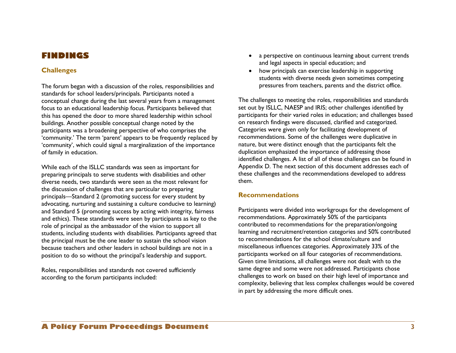# <span id="page-8-0"></span>**FINDINGS**

#### <span id="page-8-1"></span>**Challenges**

The forum began with a discussion of the roles, responsibilities and standards for school leaders/principals. Participants noted a conceptual change during the last several years from a management focus to an educational leadership focus. Participants believed that this has opened the door to more shared leadership within school buildings. Another possible conceptual change noted by the participants was a broadening perspective of who comprises the 'community.' The term 'parent' appears to be frequently replaced by 'community', which could signal a marginalization of the importance of family in education.

While each of the ISLLC standards was seen as important for preparing principals to serve students with disabilities and other diverse needs, two standards were seen as the most relevant for the discussion of challenges that are particular to preparing principals—Standard 2 (promoting success for every student by advocating, nurturing and sustaining a culture conducive to learning) and Standard 5 (promoting success by acting with integrity, fairness and ethics). These standards were seen by participants as key to the role of principal as the ambassador of the vision to support all students, including students with disabilities. Participants agreed that the principal must be the one leader to sustain the school vision because teachers and other leaders in school buildings are not in a position to do so without the principal"s leadership and support.

Roles, responsibilities and standards not covered sufficiently according to the forum participants included:

- a perspective on continuous learning about current trends and legal aspects in special education; and
- how principals can exercise leadership in supporting students with diverse needs given sometimes competing pressures from teachers, parents and the district office.

The challenges to meeting the roles, responsibilities and standards set out by ISLLC, NAESP and IRIS; other challenges identified by participants for their varied roles in education; and challenges based on research findings were discussed, clarified and categorized. Categories were given only for facilitating development of recommendations. Some of the challenges were duplicative in nature, but were distinct enough that the participants felt the duplication emphasized the importance of addressing those identified challenges. A list of all of these challenges can be found in Appendix D. The next section of this document addresses each of these challenges and the recommendations developed to address them.

#### <span id="page-8-2"></span>**Recommendations**

Participants were divided into workgroups for the development of recommendations. Approximately 50% of the participants contributed to recommendations for the preparation/ongoing learning and recruitment/retention categories and 50% contributed to recommendations for the school climate/culture and miscellaneous influences categories. Approximately 33% of the participants worked on all four categories of recommendations. Given time limitations, all challenges were not dealt with to the same degree and some were not addressed. Participants chose challenges to work on based on their high level of importance and complexity, believing that less complex challenges would be covered in part by addressing the more difficult ones.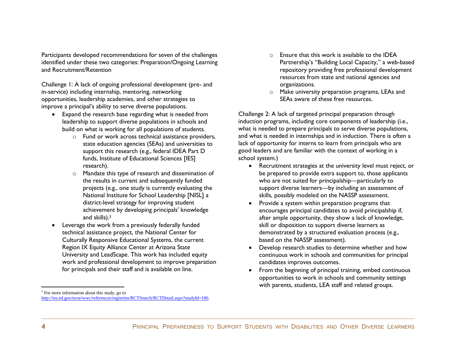Participants developed recommendations for seven of the challenges identified under these two categories: Preparation/Ongoing Learning and Recruitment/Retention

Challenge 1: A lack of ongoing professional development (pre- and in-service) including internship, mentoring, networking opportunities, leadership academies, and other strategies to improve a principal's ability to serve diverse populations.

- Expand the research base regarding what is needed from leadership to support diverse populations in schools and build on what is working for all populations of students.
	- o Fund or work across technical assistance providers, state education agencies (SEAs) and universities to support this research (e.g., federal IDEA Part D funds, Institute of Educational Sciences [IES] research).
	- o Mandate this type of research and dissemination of the results in current and subsequently funded projects (e.g., one study is currently evaluating the National Institute for School Leadership [NISL] a district-level strategy for improving student achievement by developing principals' knowledge and skills).<sup>5</sup>
- Leverage the work from a previously federally funded technical assistance project, the National Center for Culturally Responsive Educational Systems, the current Region IX Equity Alliance Center at Arizona State University and LeadScape. This work has included equity work and professional development to improve preparation for principals and their staff and is available on line.
- $\circ$  Ensure that this work is available to the IDEA Partnership's "Building Local Capacity," a web-based repository providing free professional development resources from state and national agencies and organizations.
- o Make university preparation programs, LEAs and SEAs aware of these free resources.

Challenge 2: A lack of targeted principal preparation through induction programs, including core components of leadership (i.e., what is needed to prepare principals to serve diverse populations, and what is needed in internships and in induction. There is often a lack of opportunity for interns to learn from principals who are good leaders and are familiar with the context of working in a school system.)

- Recruitment strategies at the university level must reject, or be prepared to provide extra support to, those applicants who are not suited for principalship—particularly to support diverse learners—by including an assessment of skills, possibly modeled on the NASSP assessment.
- Provide a system within preparation programs that encourages principal candidates to avoid principalship if, after ample opportunity, they show a lack of knowledge, skill or disposition to support diverse learners as demonstrated by a structured evaluation process (e.g., based on the NASSP assessment).
- Develop research studies to determine whether and how continuous work in schools and communities for principal candidates improves outcomes.
- From the beginning of principal training, embed continuous opportunities to work in schools and community settings with parents, students, LEA staff and related groups.

<sup>&</sup>lt;sup>5</sup> For more information about this study, go to [http://ies.ed.gov/ncee/wwc/references/registries/RCTSearch/RCTDetail.aspx?studyId=186.](http://ies.ed.gov/ncee/wwc/references/registries/RCTSearch/RCTDetail.aspx?studyId=186)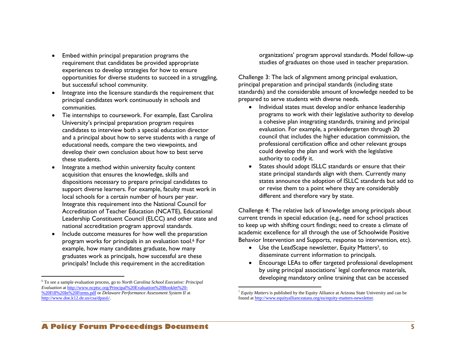- Embed within principal preparation programs the requirement that candidates be provided appropriate experiences to develop strategies for how to ensure opportunities for diverse students to succeed in a struggling, but successful school community.
- Integrate into the licensure standards the requirement that principal candidates work continuously in schools and communities.
- Tie internships to coursework. For example, East Carolina University"s principal preparation program requires candidates to interview both a special education director and a principal about how to serve students with a range of educational needs, compare the two viewpoints, and develop their own conclusion about how to best serve these students.
- Integrate a method within university faculty content acquisition that ensures the knowledge, skills and dispositions necessary to prepare principal candidates to support diverse learners. For example, faculty must work in local schools for a certain number of hours per year. Integrate this requirement into the National Council for Accreditation of Teacher Education (NCATE), Educational Leadership Constituent Council (ELCC) and other state and national accreditation program approval standards.
- Include outcome measures for how well the preparation program works for principals in an evaluation tool.<sup>6</sup> For example, how many candidates graduate, how many graduates work as principals, how successful are these principals? Include this requirement in the accreditation

 $\overline{a}$ 

organizations" program approval standards. Model follow-up studies of graduates on those used in teacher preparation.

Challenge 3: The lack of alignment among principal evaluation, principal preparation and principal standards (including state standards) and the considerable amount of knowledge needed to be prepared to serve students with diverse needs.

- Individual states must develop and/or enhance leadership programs to work with their legislative authority to develop a cohesive plan integrating standards, training and principal evaluation. For example, a prekindergarten through 20 council that includes the higher education commission, the professional certification office and other relevant groups could develop the plan and work with the legislative authority to codify it.
- States should adopt ISLLC standards or ensure that their state principal standards align with them. Currently many states announce the adoption of ISLLC standards but add to or revise them to a point where they are considerably different and therefore vary by state.

Challenge 4: The relative lack of knowledge among principals about current trends in special education (e.g., need for school practices to keep up with shifting court findings; need to create a climate of academic excellence for all through the use of Schoolwide Positive Behavior Intervention and Supports, response to intervention, etc).

- Use the LeadScape newsletter, Equity Matters<sup>7</sup>, to disseminate current information to principals.
- Encourage LEAs to offer targeted professional development by using principal associations' legal conference materials, developing mandatory online training that can be accessed

<sup>6</sup> To see a sample evaluation process, go to *North Carolina School Executive: Principal Evaluation* at [http://www.ncptsc.org/Principal%20Evaluation%20Booklet%20-](http://www.ncptsc.org/Principal%20Evaluation%20Booklet%20-%20Fill%20In%20Forms.pdf) [%20Fill%20In%20Forms.pdf](http://www.ncptsc.org/Principal%20Evaluation%20Booklet%20-%20Fill%20In%20Forms.pdf) or *Delaware Performance Assessment System II* at [http://www.doe.k12.de.us/csa/dpasii/.](http://www.doe.k12.de.us/csa/dpasii/) 

<sup>7</sup> *Equity Matters* is published by the Equity Alliance at Arizona State University and can be found a[t http://www.equityallianceatasu.org/ea/equity-matters-newsletter.](http://www.equityallianceatasu.org/ea/equity-matters-newsletter)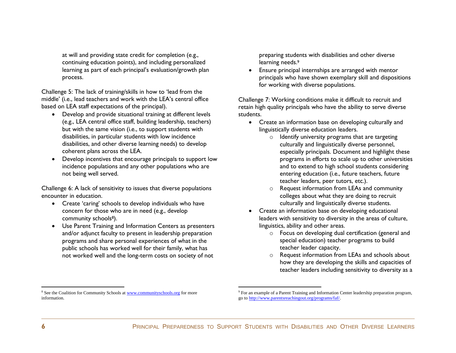at will and providing state credit for completion (e.g., continuing education points), and including personalized learning as part of each principal's evaluation/growth plan process.

Challenge 5: The lack of training/skills in how to "lead from the middle" (i.e., lead teachers and work with the LEA"s central office based on LEA staff expectations of the principal).

- Develop and provide situational training at different levels (e.g., LEA central office staff, building leadership, teachers) but with the same vision (i.e., to support students with disabilities, in particular students with low incidence disabilities, and other diverse learning needs) to develop coherent plans across the LEA.
- Develop incentives that encourage principals to support low incidence populations and any other populations who are not being well served.

Challenge 6: A lack of sensitivity to issues that diverse populations encounter in education.

- Create 'caring' schools to develop individuals who have concern for those who are in need (e.g., develop community schools<sup>8</sup>).
- Use Parent Training and Information Centers as presenters and/or adjunct faculty to present in leadership preparation programs and share personal experiences of what in the public schools has worked well for their family, what has not worked well and the long-term costs on society of not

preparing students with disabilities and other diverse learning needs.<sup>9</sup>

 Ensure principal internships are arranged with mentor principals who have shown exemplary skill and dispositions for working with diverse populations.

Challenge 7: Working conditions make it difficult to recruit and retain high quality principals who have the ability to serve diverse students.

- Create an information base on developing culturally and linguistically diverse education leaders.
	- $\circ$  Identify university programs that are targeting culturally and linguistically diverse personnel, especially principals. Document and highlight these programs in efforts to scale up to other universities and to extend to high school students considering entering education (i.e., future teachers, future teacher leaders, peer tutors, etc.).
	- o Request information from LEAs and community colleges about what they are doing to recruit culturally and linguistically diverse students.
- Create an information base on developing educational leaders with sensitivity to diversity in the areas of culture, linguistics, ability and other areas.
	- o Focus on developing dual certification (general and special education) teacher programs to build teacher leader capacity.
	- o Request information from LEAs and schools about how they are developing the skills and capacities of teacher leaders including sensitivity to diversity as a

 $\overline{a}$ 

<sup>&</sup>lt;sup>8</sup> See the Coalition for Community Schools a[t www.communityschools.org](http://www.communityschools.org/) for more information.

<sup>&</sup>lt;sup>9</sup> For an example of a Parent Training and Information Center leadership preparation program, go t[o http://www.parentsreachingout.org/programs/faf/.](http://www.parentsreachingout.org/programs/faf/)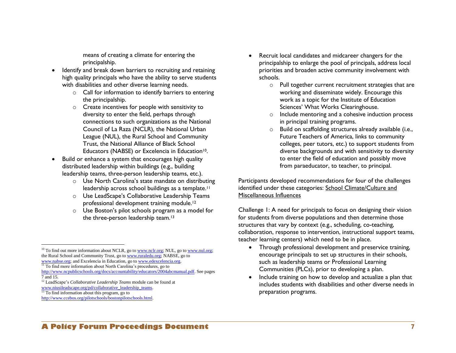means of creating a climate for entering the principalship.

- Identify and break down barriers to recruiting and retaining high quality principals who have the ability to serve students with disabilities and other diverse learning needs.
	- o Call for information to identify barriers to entering the principalship.
	- o Create incentives for people with sensitivity to diversity to enter the field, perhaps through connections to such organizations as the National Council of La Raza (NCLR), the National Urban League (NUL), the Rural School and Community Trust, the National Alliance of Black School Educators (NABSE) or Excelencia in Education<sup>10</sup>.
- Build or enhance a system that encourages high quality distributed leadership within buildings (e.g., building leadership teams, three-person leadership teams, etc.).
	- o Use North Carolina"s state mandate on distributing leadership across school buildings as a template.<sup>11</sup>
	- o Use LeadScape"s Collaborative Leadership Teams professional development training module.<sup>12</sup>
	- o Use Boston"s pilot schools program as a model for the three-person leadership team.<sup>13</sup>

 $\overline{a}$ 

- Recruit local candidates and midcareer changers for the principalship to enlarge the pool of principals, address local priorities and broaden active community involvement with schools.
	- o Pull together current recruitment strategies that are working and disseminate widely. Encourage this work as a topic for the Institute of Education Sciences" What Works Clearinghouse.
	- o Include mentoring and a cohesive induction process in principal training programs.
	- o Build on scaffolding structures already available (i.e., Future Teachers of America, links to community colleges, peer tutors, etc.) to support students from diverse backgrounds and with sensitivity to diversity to enter the field of education and possibly move from paraeducator, to teacher, to principal.

Participants developed recommendations for four of the challenges identified under these categories: School Climate/Culture and Miscellaneous Influences

Challenge 1: A need for principals to focus on designing their vision for students from diverse populations and then determine those structures that vary by context (e.g., scheduling, co-teaching, collaboration, response to intervention, instructional support teams, teacher learning centers) which need to be in place.

- Through professional development and preservice training, encourage principals to set up structures in their schools, such as leadership teams or Professional Learning Communities (PLCs), prior to developing a plan.
- Include training on how to develop and actualize a plan that includes students with disabilities and other diverse needs in preparation programs.

 $10$  To find out more information about NCLR, go t[o www.nclr.org;](http://www.nclr.org/) NUL, go to [www.nul.org;](http://www.nul.org/) the Rural School and Community Trust, go t[o www.ruraledu.org;](http://www.ruraledu.org/) NABSE, go to [www.nabse.org;](http://www.nabse.org/) and Excelencia in Education, go to [www.edexcelencia.org.](http://www.edexcelencia.org/)

 $\frac{11}{11}$  To find more information about North Carolina's procedures, go to

[http://www.ncpublicschools.org/docs/accountability/educators/2004abcmanual.pdf.](http://www.ncpublicschools.org/docs/accountability/educators/2004abcmanual.pdf) See pages 7 and 15.

<sup>12</sup> LeadScape's *Collaborative Leadership Teams* module can be found at

www.niusileadscape.org/pd/collaborative\_leadership\_teams.

 $\frac{13}{13}$  To find information about this program, go to

[http://www.ccebos.org/pilotschools/bostonpilotschools.html.](http://www.ccebos.org/pilotschools/bostonpilotschools.html)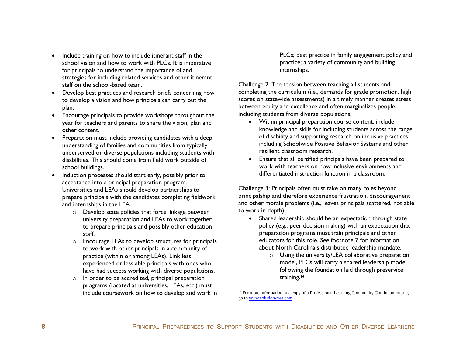- Include training on how to include itinerant staff in the school vision and how to work with PLCs. It is imperative for principals to understand the importance of and strategies for including related services and other itinerant staff on the school-based team.
- Develop best practices and research briefs concerning how to develop a vision and how principals can carry out the plan.
- Encourage principals to provide workshops throughout the year for teachers and parents to share the vision, plan and other content.
- Preparation must include providing candidates with a deep understanding of families and communities from typically underserved or diverse populations including students with disabilities. This should come from field work outside of school buildings.
- Induction processes should start early, possibly prior to acceptance into a principal preparation program. Universities and LEAs should develop partnerships to prepare principals with the candidates completing fieldwork and internships in the LEA.
	- o Develop state policies that force linkage between university preparation and LEAs to work together to prepare principals and possibly other education staff.
	- o Encourage LEAs to develop structures for principals to work with other principals in a community of practice (within or among LEAs). Link less experienced or less able principals with ones who have had success working with diverse populations.
	- o In order to be accredited, principal preparation programs (located at universities, LEAs, etc.) must include coursework on how to develop and work in

PLCs; best practice in family engagement policy and practice; a variety of community and building internships.

Challenge 2: The tension between teaching all students and completing the curriculum (i.e., demands for grade promotion, high scores on statewide assessments) in a timely manner creates stress between equity and excellence and often marginalizes people, including students from diverse populations.

- Within principal preparation course content, include knowledge and skills for including students across the range of disability and supporting research on inclusive practices including Schoolwide Positive Behavior Systems and other resilient classroom research.
- Ensure that all certified principals have been prepared to work with teachers on how inclusive environments and differentiated instruction function in a classroom.

Challenge 3: Principals often must take on many roles beyond principalship and therefore experience frustration, discouragement and other morale problems (i.e., leaves principals scattered, not able to work in depth).

- Shared leadership should be an expectation through state policy (e.g., peer decision making) with an expectation that preparation programs must train principals and other educators for this role. See footnote 7 for information about North Carolina"s distributed leadership mandate.
	- $\circ$  Using the university/LEA collaborative preparation model, PLCs will carry a shared leadership model following the foundation laid through preservice training.<sup>14</sup>

 $14$  For more information or a copy of a Professional Learning Community Continuum rubric, go t[o www.solution-tree.com.](http://www.solution-tree.com/)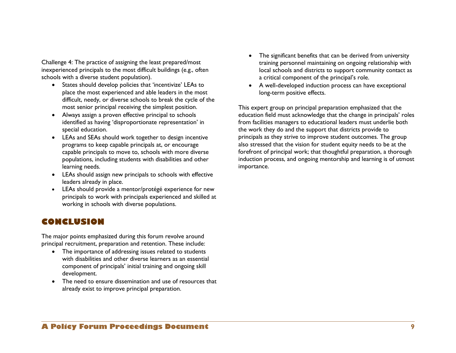Challenge 4: The practice of assigning the least prepared/most inexperienced principals to the most difficult buildings (e.g., often schools with a diverse student population).

- States should develop policies that "incentivize" LEAs to place the most experienced and able leaders in the most difficult, needy, or diverse schools to break the cycle of the most senior principal receiving the simplest position.
- Always assign a proven effective principal to schools identified as having 'disproportionate representation' in special education.
- LEAs and SEAs should work together to design incentive programs to keep capable principals at, or encourage capable principals to move to, schools with more diverse populations, including students with disabilities and other learning needs.
- LEAs should assign new principals to schools with effective leaders already in place.
- LEAs should provide a mentor/protégé experience for new principals to work with principals experienced and skilled at working in schools with diverse populations.

## <span id="page-14-0"></span>**CONCLUSION**

The major points emphasized during this forum revolve around principal recruitment, preparation and retention. These include:

- The importance of addressing issues related to students with disabilities and other diverse learners as an essential component of principals" initial training and ongoing skill development.
- The need to ensure dissemination and use of resources that already exist to improve principal preparation.
- The significant benefits that can be derived from university training personnel maintaining on ongoing relationship with local schools and districts to support community contact as a critical component of the principal's role.
- A well-developed induction process can have exceptional long-term positive effects.

This expert group on principal preparation emphasized that the education field must acknowledge that the change in principals' roles from facilities managers to educational leaders must underlie both the work they do and the support that districts provide to principals as they strive to improve student outcomes. The group also stressed that the vision for student equity needs to be at the forefront of principal work; that thoughtful preparation, a thorough induction process, and ongoing mentorship and learning is of utmost importance.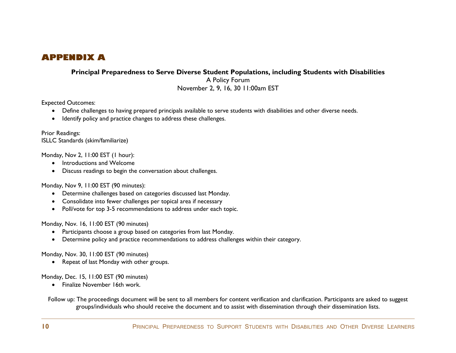# <span id="page-15-0"></span>**APPENDIX A**

**Principal Preparedness to Serve Diverse Student Populations, including Students with Disabilities**

A Policy Forum November 2, 9, 16, 30 11:00am EST

Expected Outcomes:

- Define challenges to having prepared principals available to serve students with disabilities and other diverse needs.
- Identify policy and practice changes to address these challenges.

Prior Readings: ISLLC Standards (skim/familiarize)

Monday, Nov 2, 11:00 EST (1 hour):

- Introductions and Welcome
- Discuss readings to begin the conversation about challenges.

Monday, Nov 9, 11:00 EST (90 minutes):

- Determine challenges based on categories discussed last Monday.
- Consolidate into fewer challenges per topical area if necessary
- Poll/vote for top 3-5 recommendations to address under each topic.

Monday, Nov. 16, 11:00 EST (90 minutes)

- Participants choose a group based on categories from last Monday.
- Determine policy and practice recommendations to address challenges within their category.

Monday, Nov. 30, 11:00 EST (90 minutes)

• Repeat of last Monday with other groups.

Monday, Dec. 15, 11:00 EST (90 minutes)

• Finalize November 16th work.

Follow up: The proceedings document will be sent to all members for content verification and clarification. Participants are asked to suggest groups/individuals who should receive the document and to assist with dissemination through their dissemination lists.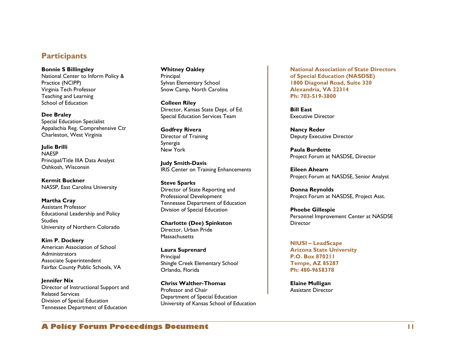### **Participants**

**Bonnie S Billingsley** National Center to Inform Policy & Practice (NCIPP) Virginia Tech Professor Teaching and Learning School of Education

**Dee Braley** Special Education Specialist Appalachia Reg. Comprehensive Ctr Charleston, West Virginia

**Julie Brilli** NAESP Principal/Title IIIA Data Analyst Oshkosh, Wisconsin

**Kermit Buckner** NASSP, East Carolina University

**Martha Cray** Assistant Professor Educational Leadership and Policy Studies University of Northern Colorado

**Kim P. Dockery** American Association of School **Administrators** Associate Superintendent Fairfax County Public Schools, VA

**Jennifer Nix** Director of Instructional Support and Related Services Division of Special Education Tennessee Department of Education

**Whitney Oakley**  Principal Sylvan Elementary School Snow Camp, North Carolina

**Colleen Riley** Director, Kansas State Dept. of Ed. Special Education Services Team

**Godfrey Rivera** Director of Training Synergia New York

**Judy Smith-Davis** IRIS Center on Training Enhancements

**Steve Sparks** Director of State Reporting and Professional Development Tennessee Department of Education Division of Special Education

**Charlotte (Dee) Spinkston** Director, Urban Pride **Massachusetts** 

**Laura Suprenard** Principal Shingle Creek Elementary School Orlando, Florida

**Chriss Walther-Thomas** Professor and Chair Department of Special Education University of Kansas School of Education **National Association of State Directors of Special Education (NASDSE) 1800 Diagonal Road, Suite 320 Alexandria, VA 22314 Ph: 703-519-3800** 

**Bill East** Executive Director

**Nancy Reder** Deputy Executive Director

**Paula Burdette** Project Forum at NASDSE, Director

**Eileen Ahearn** Project Forum at NASDSE, Senior Analyst

**Donna Reynolds** Project Forum at NASDSE, Project Asst.

**Phoebe Gillespie** Personnel Improvement Center at NASDSE **Director** 

**NIUSI – LeadScape Arizona State University P.O. Box 870211 Tempe, AZ 85287 Ph: 480-9658378**

**Elaine Mulligan** Assistant Director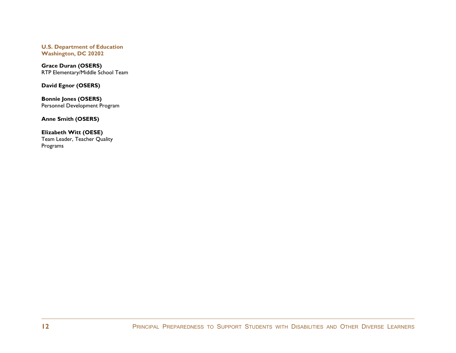**U.S. Department of Education Washington, DC 20202**

**Grace Duran (OSERS)** RTP Elementary/Middle School Team

**David Egnor (OSERS)**

**Bonnie Jones (OSERS)** Personnel Development Program

**Anne Smith (OSERS)**

**Elizabeth Witt (OESE)** Team Leader, Teacher Quality Programs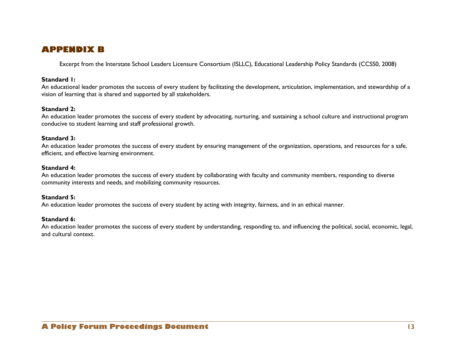## <span id="page-18-0"></span>**APPENDIX B**

Excerpt from the Interstate School Leaders Licensure Consortium (ISLLC), Educational Leadership Policy Standards (CCSS0, 2008)

#### **Standard 1:**

An educational leader promotes the success of every student by facilitating the development, articulation, implementation, and stewardship of a vision of learning that is shared and supported by all stakeholders.

#### **Standard 2:**

An education leader promotes the success of every student by advocating, nurturing, and sustaining a school culture and instructional program conducive to student learning and staff professional growth.

#### **Standard 3:**

An education leader promotes the success of every student by ensuring management of the organization, operations, and resources for a safe, efficient, and effective learning environment.

#### **Standard 4:**

An education leader promotes the success of every student by collaborating with faculty and community members, responding to diverse community interests and needs, and mobilizing community resources.

#### **Standard 5:**

An education leader promotes the success of every student by acting with integrity, fairness, and in an ethical manner.

#### **Standard 6:**

An education leader promotes the success of every student by understanding, responding to, and influencing the political, social, economic, legal, and cultural context.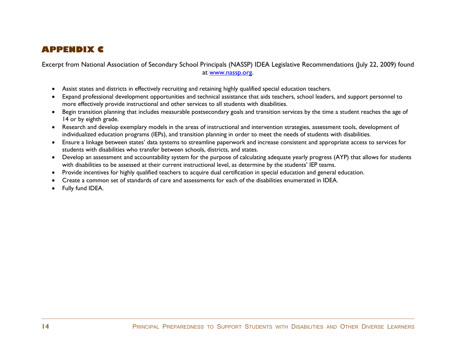# <span id="page-19-0"></span>**APPENDIX C**

Excerpt from National Association of Secondary School Principals (NASSP) IDEA Legislative Recommendations (July 22, 2009) found at [www.nassp.org.](http://www.nassp.org/)

- Assist states and districts in effectively recruiting and retaining highly qualified special education teachers.
- Expand professional development opportunities and technical assistance that aids teachers, school leaders, and support personnel to more effectively provide instructional and other services to all students with disabilities.
- Begin transition planning that includes measurable postsecondary goals and transition services by the time a student reaches the age of 14 or by eighth grade.
- Research and develop exemplary models in the areas of instructional and intervention strategies, assessment tools, development of individualized education programs (IEPs), and transition planning in order to meet the needs of students with disabilities.
- Ensure a linkage between states" data systems to streamline paperwork and increase consistent and appropriate access to services for students with disabilities who transfer between schools, districts, and states.
- Develop an assessment and accountability system for the purpose of calculating adequate yearly progress (AYP) that allows for students with disabilities to be assessed at their current instructional level, as determine by the students" IEP teams.
- Provide incentives for highly qualified teachers to acquire dual certification in special education and general education.
- Create a common set of standards of care and assessments for each of the disabilities enumerated in IDEA.
- Fully fund IDEA.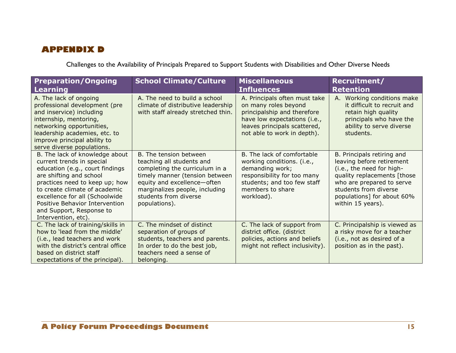# <span id="page-20-0"></span>**APPENDIX D**

Challenges to the Availability of Principals Prepared to Support Students with Disabilities and Other Diverse Needs

| <b>Preparation/Ongoing</b><br>Learning                                                                                                                                                                                                                                                                              | <b>School Climate/Culture</b>                                                                                                                                                                                                      | <b>Miscellaneous</b><br><b>Influences</b>                                                                                                                                           | Recruitment/<br><b>Retention</b>                                                                                                                                                                                             |
|---------------------------------------------------------------------------------------------------------------------------------------------------------------------------------------------------------------------------------------------------------------------------------------------------------------------|------------------------------------------------------------------------------------------------------------------------------------------------------------------------------------------------------------------------------------|-------------------------------------------------------------------------------------------------------------------------------------------------------------------------------------|------------------------------------------------------------------------------------------------------------------------------------------------------------------------------------------------------------------------------|
| A. The lack of ongoing<br>professional development (pre<br>and inservice) including<br>internship, mentoring,<br>networking opportunities,<br>leadership academies, etc. to<br>improve principal ability to<br>serve diverse populations.                                                                           | A. The need to build a school<br>climate of distributive leadership<br>with staff already stretched thin.                                                                                                                          | A. Principals often must take<br>on many roles beyond<br>principalship and therefore<br>have low expectations (i.e.,<br>leaves principals scattered,<br>not able to work in depth). | A. Working conditions make<br>it difficult to recruit and<br>retain high quality<br>principals who have the<br>ability to serve diverse<br>students.                                                                         |
| B. The lack of knowledge about<br>current trends in special<br>education (e.g., court findings<br>are shifting and school<br>practices need to keep up; how<br>to create climate of academic<br>excellence for all (Schoolwide<br>Positive Behavior Intervention<br>and Support, Response to<br>Intervention, etc). | B. The tension between<br>teaching all students and<br>completing the curriculum in a<br>timely manner (tension between<br>equity and excellence-often<br>marginalizes people, including<br>students from diverse<br>populations). | B. The lack of comfortable<br>working conditions. (i.e.,<br>demanding work;<br>responsibility for too many<br>students; and too few staff<br>members to share<br>workload).         | B. Principals retiring and<br>leaving before retirement<br>(i.e., the need for high-<br>quality replacements [those<br>who are prepared to serve<br>students from diverse<br>populations] for about 60%<br>within 15 years). |
| C. The lack of training/skills in<br>how to 'lead from the middle'<br>(i.e., lead teachers and work<br>with the district's central office<br>based on district staff<br>expectations of the principal).                                                                                                             | C. The mindset of distinct<br>separation of groups of<br>students, teachers and parents.<br>In order to do the best job,<br>teachers need a sense of<br>belonging.                                                                 | C. The lack of support from<br>district office. (district<br>policies, actions and beliefs<br>might not reflect inclusivity).                                                       | C. Principalship is viewed as<br>a risky move for a teacher<br>(i.e., not as desired of a<br>position as in the past).                                                                                                       |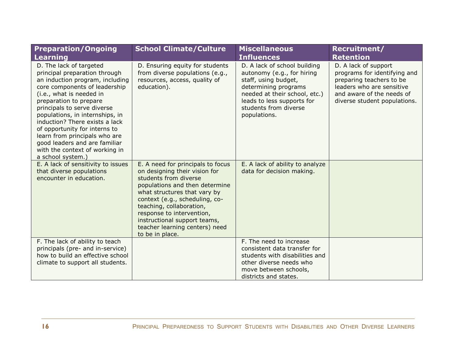| <b>Preparation/Ongoing</b>                                                                                                                                                                                                                                                                                                                                                                                                                       | <b>School Climate/Culture</b>                                                                                                                                                                                                                                                                                                                 | <b>Miscellaneous</b>                                                                                                                                                                                               | Recruitment/                                                                                                                                                               |
|--------------------------------------------------------------------------------------------------------------------------------------------------------------------------------------------------------------------------------------------------------------------------------------------------------------------------------------------------------------------------------------------------------------------------------------------------|-----------------------------------------------------------------------------------------------------------------------------------------------------------------------------------------------------------------------------------------------------------------------------------------------------------------------------------------------|--------------------------------------------------------------------------------------------------------------------------------------------------------------------------------------------------------------------|----------------------------------------------------------------------------------------------------------------------------------------------------------------------------|
| <b>Learning</b>                                                                                                                                                                                                                                                                                                                                                                                                                                  |                                                                                                                                                                                                                                                                                                                                               | <b>Influences</b>                                                                                                                                                                                                  | <b>Retention</b>                                                                                                                                                           |
| D. The lack of targeted<br>principal preparation through<br>an induction program, including<br>core components of leadership<br>(i.e., what is needed in<br>preparation to prepare<br>principals to serve diverse<br>populations, in internships, in<br>induction? There exists a lack<br>of opportunity for interns to<br>learn from principals who are<br>good leaders and are familiar<br>with the context of working in<br>a school system.) | D. Ensuring equity for students<br>from diverse populations (e.g.,<br>resources, access, quality of<br>education).                                                                                                                                                                                                                            | D. A lack of school building<br>autonomy (e.g., for hiring<br>staff, using budget,<br>determining programs<br>needed at their school, etc.)<br>leads to less supports for<br>students from diverse<br>populations. | D. A lack of support<br>programs for identifying and<br>preparing teachers to be<br>leaders who are sensitive<br>and aware of the needs of<br>diverse student populations. |
| E. A lack of sensitivity to issues<br>that diverse populations<br>encounter in education.                                                                                                                                                                                                                                                                                                                                                        | E. A need for principals to focus<br>on designing their vision for<br>students from diverse<br>populations and then determine<br>what structures that vary by<br>context (e.g., scheduling, co-<br>teaching, collaboration,<br>response to intervention,<br>instructional support teams,<br>teacher learning centers) need<br>to be in place. | E. A lack of ability to analyze<br>data for decision making.                                                                                                                                                       |                                                                                                                                                                            |
| F. The lack of ability to teach<br>principals (pre- and in-service)                                                                                                                                                                                                                                                                                                                                                                              |                                                                                                                                                                                                                                                                                                                                               | F. The need to increase<br>consistent data transfer for                                                                                                                                                            |                                                                                                                                                                            |
| how to build an effective school                                                                                                                                                                                                                                                                                                                                                                                                                 |                                                                                                                                                                                                                                                                                                                                               | students with disabilities and                                                                                                                                                                                     |                                                                                                                                                                            |
| climate to support all students.                                                                                                                                                                                                                                                                                                                                                                                                                 |                                                                                                                                                                                                                                                                                                                                               | other diverse needs who                                                                                                                                                                                            |                                                                                                                                                                            |
|                                                                                                                                                                                                                                                                                                                                                                                                                                                  |                                                                                                                                                                                                                                                                                                                                               | move between schools,                                                                                                                                                                                              |                                                                                                                                                                            |
|                                                                                                                                                                                                                                                                                                                                                                                                                                                  |                                                                                                                                                                                                                                                                                                                                               | districts and states.                                                                                                                                                                                              |                                                                                                                                                                            |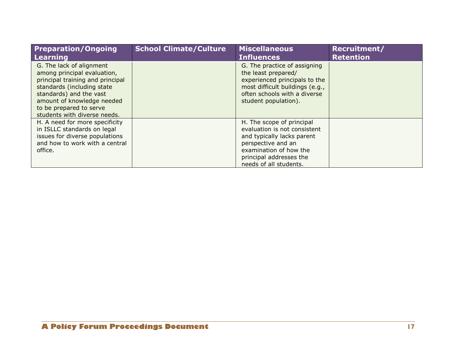| <b>Preparation/Ongoing</b><br><b>Learning</b>                                                                                                                                                                                                 | <b>School Climate/Culture</b> | <b>Miscellaneous</b><br><b>Influences</b>                                                                                                                                                    | Recruitment/<br><b>Retention</b> |
|-----------------------------------------------------------------------------------------------------------------------------------------------------------------------------------------------------------------------------------------------|-------------------------------|----------------------------------------------------------------------------------------------------------------------------------------------------------------------------------------------|----------------------------------|
| G. The lack of alignment<br>among principal evaluation,<br>principal training and principal<br>standards (including state<br>standards) and the vast<br>amount of knowledge needed<br>to be prepared to serve<br>students with diverse needs. |                               | G. The practice of assigning<br>the least prepared/<br>experienced principals to the<br>most difficult buildings (e.g.,<br>often schools with a diverse<br>student population).              |                                  |
| H. A need for more specificity<br>in ISLLC standards on legal<br>issues for diverse populations<br>and how to work with a central<br>office.                                                                                                  |                               | H. The scope of principal<br>evaluation is not consistent<br>and typically lacks parent<br>perspective and an<br>examination of how the<br>principal addresses the<br>needs of all students. |                                  |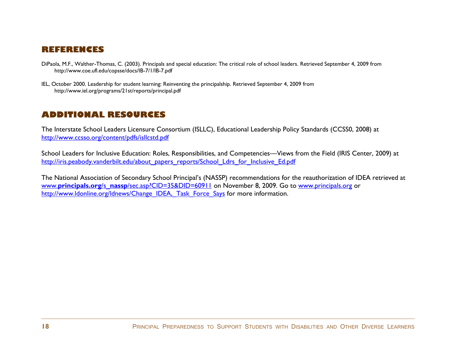## <span id="page-23-0"></span>**REFERENCES**

- DiPaola, M.F., Walther-Thomas, C. (2003). Principals and special education: The critical role of school leaders. Retrieved September 4, 2009 from <http://www.coe.ufl.edu/copsse/docs/IB-7/1/IB-7.pdf>
- IEL, October 2000. Leadership for student learning: Reinventing the principalship. Retrieved September 4, 2009 from <http://www.iel.org/programs/21st/reports/principal.pdf>

## <span id="page-23-1"></span>**ADDITIONAL RESOURCES**

The Interstate School Leaders Licensure Consortium (ISLLC), Educational Leadership Policy Standards (CCSS0, 2008) at <http://www.ccsso.org/content/pdfs/isllcstd.pdf>

School Leaders for Inclusive Education: Roles, Responsibilities, and Competencies—Views from the Field (IRIS Center, 2009) at [http://iris.peabody.vanderbilt.edu/about\\_papers\\_reports/School\\_Ldrs\\_for\\_Inclusive\\_Ed.pdf](http://iris.peabody.vanderbilt.edu/about_papers_reports/School_Ldrs_for_Inclusive_Ed.pdf)

The National Association of Secondary School Principal"s (NASSP) recommendations for the reauthorization of IDEA retrieved at www.principals.org/s\_nassp[/sec.asp?CID=35&DID=60911](http://www.principals.org/s_nassp/sec.asp?CID=35&DID=60911) on November 8, 2009. Go to [www.principals.org](http://www.principals.org/) or [http://www.ldonline.org/ldnews/Change\\_IDEA,\\_Task\\_Force\\_Says](http://www.ldonline.org/ldnews/Change_IDEA,_Task_Force_Says) for more information.